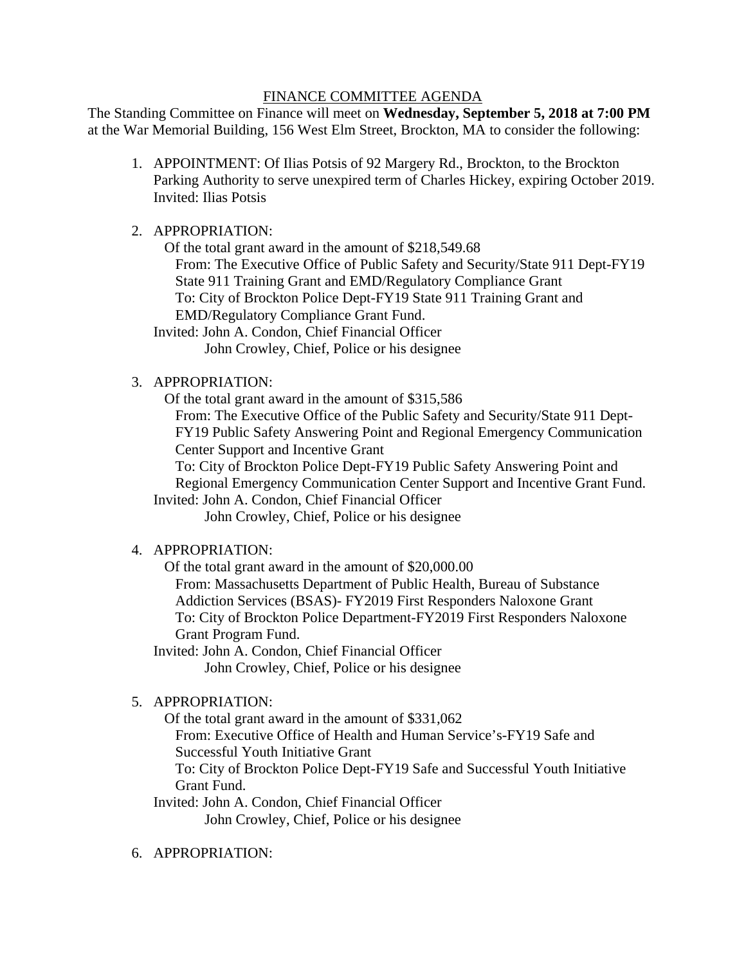#### FINANCE COMMITTEE AGENDA

The Standing Committee on Finance will meet on **Wednesday, September 5, 2018 at 7:00 PM** at the War Memorial Building, 156 West Elm Street, Brockton, MA to consider the following:

- 1. APPOINTMENT: Of Ilias Potsis of 92 Margery Rd., Brockton, to the Brockton Parking Authority to serve unexpired term of Charles Hickey, expiring October 2019. Invited: Ilias Potsis
- 2. APPROPRIATION:

 Of the total grant award in the amount of \$218,549.68 From: The Executive Office of Public Safety and Security/State 911 Dept-FY19 State 911 Training Grant and EMD/Regulatory Compliance Grant To: City of Brockton Police Dept-FY19 State 911 Training Grant and EMD/Regulatory Compliance Grant Fund.

Invited: John A. Condon, Chief Financial Officer John Crowley, Chief, Police or his designee

3. APPROPRIATION:

Of the total grant award in the amount of \$315,586

From: The Executive Office of the Public Safety and Security/State 911 Dept-FY19 Public Safety Answering Point and Regional Emergency Communication Center Support and Incentive Grant

To: City of Brockton Police Dept-FY19 Public Safety Answering Point and Regional Emergency Communication Center Support and Incentive Grant Fund.

Invited: John A. Condon, Chief Financial Officer John Crowley, Chief, Police or his designee

# 4. APPROPRIATION:

 Of the total grant award in the amount of \$20,000.00 From: Massachusetts Department of Public Health, Bureau of Substance Addiction Services (BSAS)- FY2019 First Responders Naloxone Grant To: City of Brockton Police Department-FY2019 First Responders Naloxone Grant Program Fund.

Invited: John A. Condon, Chief Financial Officer John Crowley, Chief, Police or his designee

# 5. APPROPRIATION:

Of the total grant award in the amount of \$331,062

From: Executive Office of Health and Human Service's-FY19 Safe and Successful Youth Initiative Grant

To: City of Brockton Police Dept-FY19 Safe and Successful Youth Initiative Grant Fund.

Invited: John A. Condon, Chief Financial Officer

John Crowley, Chief, Police or his designee

6. APPROPRIATION: